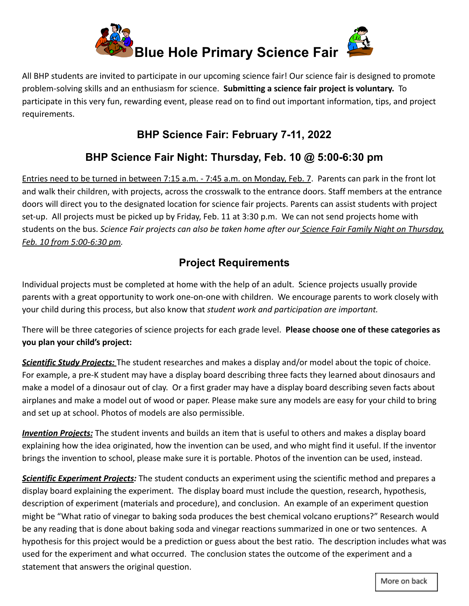

All BHP students are invited to participate in our upcoming science fair! Our science fair is designed to promote problem-solving skills and an enthusiasm for science. **Submitting a science fair project is voluntary.** To participate in this very fun, rewarding event, please read on to find out important information, tips, and project requirements.

## **BHP Science Fair: February 7-11, 2022**

# **BHP Science Fair Night: Thursday, Feb. 10 @ 5:00-6:30 pm**

Entries need to be turned in between 7:15 a.m. - 7:45 a.m. on Monday, Feb. 7. Parents can park in the front lot and walk their children, with projects, across the crosswalk to the entrance doors. Staff members at the entrance doors will direct you to the designated location for science fair projects. Parents can assist students with project set-up. All projects must be picked up by Friday, Feb. 11 at 3:30 p.m. We can not send projects home with students on the bus. *Science Fair projects can also be taken home after our Science Fair Family Night on Thursday, Feb. 10 from 5:00-6:30 pm.*

# **Project Requirements**

Individual projects must be completed at home with the help of an adult. Science projects usually provide parents with a great opportunity to work one-on-one with children. We encourage parents to work closely with your child during this process, but also know that *student work and participation are important.*

There will be three categories of science projects for each grade level. **Please choose one of these categories as you plan your child's project:**

*Scientific Study Projects:* The student researches and makes a display and/or model about the topic of choice. For example, a pre-K student may have a display board describing three facts they learned about dinosaurs and make a model of a dinosaur out of clay. Or a first grader may have a display board describing seven facts about airplanes and make a model out of wood or paper. Please make sure any models are easy for your child to bring and set up at school. Photos of models are also permissible.

*Invention Projects:* The student invents and builds an item that is useful to others and makes a display board explaining how the idea originated, how the invention can be used, and who might find it useful. If the inventor brings the invention to school, please make sure it is portable. Photos of the invention can be used, instead.

*Scientific Experiment Projects:* The student conducts an experiment using the scientific method and prepares a display board explaining the experiment. The display board must include the question, research, hypothesis, description of experiment (materials and procedure), and conclusion. An example of an experiment question might be "What ratio of vinegar to baking soda produces the best chemical volcano eruptions?" Research would be any reading that is done about baking soda and vinegar reactions summarized in one or two sentences. A hypothesis for this project would be a prediction or guess about the best ratio. The description includes what was used for the experiment and what occurred. The conclusion states the outcome of the experiment and a statement that answers the original question.